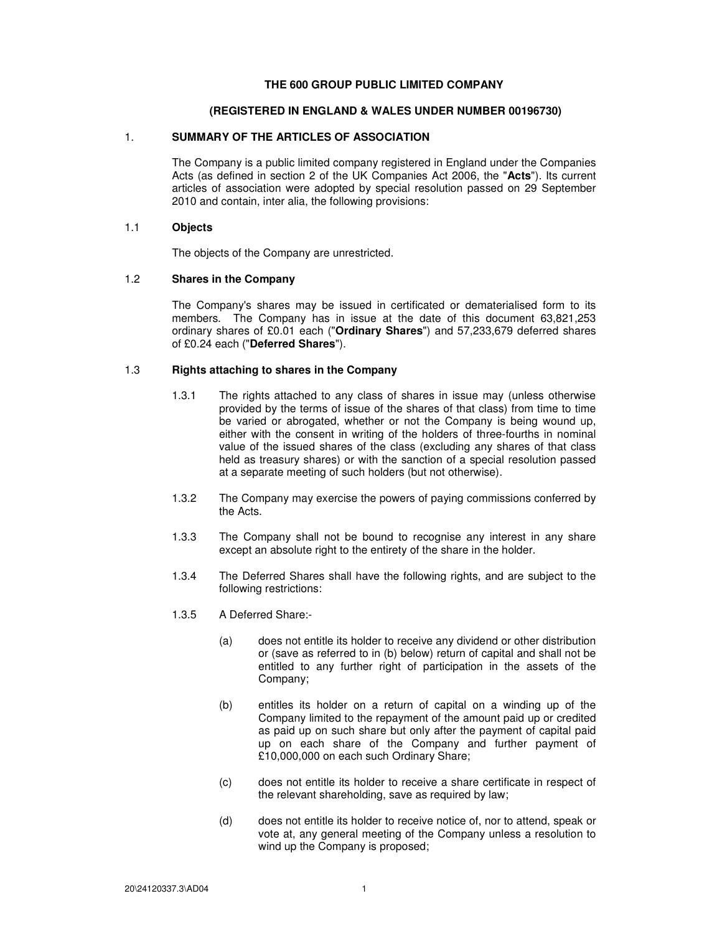#### **THE 600 GROUP PUBLIC LIMITED COMPANY**

## **(REGISTERED IN ENGLAND & WALES UNDER NUMBER 00196730)**

# 1. **SUMMARY OF THE ARTICLES OF ASSOCIATION**

The Company is a public limited company registered in England under the Companies Acts (as defined in section 2 of the UK Companies Act 2006, the "**Acts**"). Its current articles of association were adopted by special resolution passed on 29 September 2010 and contain, inter alia, the following provisions:

### 1.1 **Objects**

The objects of the Company are unrestricted.

# 1.2 **Shares in the Company**

The Company's shares may be issued in certificated or dematerialised form to its members. The Company has in issue at the date of this document 63,821,253 ordinary shares of £0.01 each ("**Ordinary Shares**") and 57,233,679 deferred shares of £0.24 each ("**Deferred Shares**").

## 1.3 **Rights attaching to shares in the Company**

- 1.3.1 The rights attached to any class of shares in issue may (unless otherwise provided by the terms of issue of the shares of that class) from time to time be varied or abrogated, whether or not the Company is being wound up, either with the consent in writing of the holders of three-fourths in nominal value of the issued shares of the class (excluding any shares of that class held as treasury shares) or with the sanction of a special resolution passed at a separate meeting of such holders (but not otherwise).
- 1.3.2 The Company may exercise the powers of paying commissions conferred by the Acts.
- 1.3.3 The Company shall not be bound to recognise any interest in any share except an absolute right to the entirety of the share in the holder.
- 1.3.4 The Deferred Shares shall have the following rights, and are subject to the following restrictions:
- 1.3.5 A Deferred Share:-
	- (a) does not entitle its holder to receive any dividend or other distribution or (save as referred to in (b) below) return of capital and shall not be entitled to any further right of participation in the assets of the Company;
	- (b) entitles its holder on a return of capital on a winding up of the Company limited to the repayment of the amount paid up or credited as paid up on such share but only after the payment of capital paid up on each share of the Company and further payment of £10,000,000 on each such Ordinary Share;
	- (c) does not entitle its holder to receive a share certificate in respect of the relevant shareholding, save as required by law;
	- (d) does not entitle its holder to receive notice of, nor to attend, speak or vote at, any general meeting of the Company unless a resolution to wind up the Company is proposed;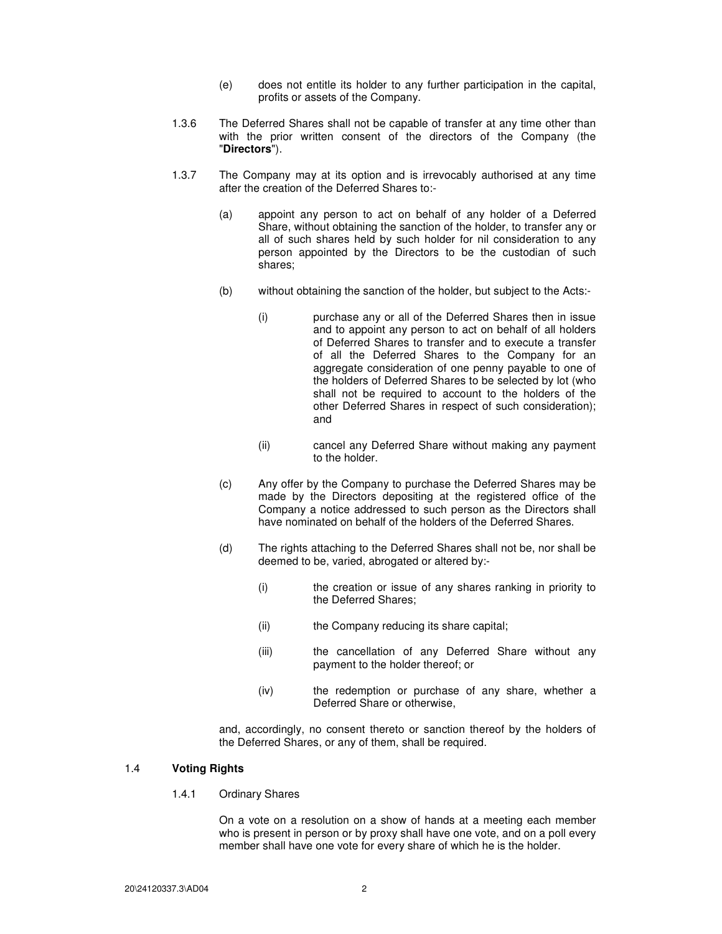- (e) does not entitle its holder to any further participation in the capital, profits or assets of the Company.
- 1.3.6 The Deferred Shares shall not be capable of transfer at any time other than with the prior written consent of the directors of the Company (the "**Directors**").
- 1.3.7 The Company may at its option and is irrevocably authorised at any time after the creation of the Deferred Shares to:-
	- (a) appoint any person to act on behalf of any holder of a Deferred Share, without obtaining the sanction of the holder, to transfer any or all of such shares held by such holder for nil consideration to any person appointed by the Directors to be the custodian of such shares;
	- (b) without obtaining the sanction of the holder, but subject to the Acts:-
		- (i) purchase any or all of the Deferred Shares then in issue and to appoint any person to act on behalf of all holders of Deferred Shares to transfer and to execute a transfer of all the Deferred Shares to the Company for an aggregate consideration of one penny payable to one of the holders of Deferred Shares to be selected by lot (who shall not be required to account to the holders of the other Deferred Shares in respect of such consideration); and
		- (ii) cancel any Deferred Share without making any payment to the holder.
	- (c) Any offer by the Company to purchase the Deferred Shares may be made by the Directors depositing at the registered office of the Company a notice addressed to such person as the Directors shall have nominated on behalf of the holders of the Deferred Shares.
	- (d) The rights attaching to the Deferred Shares shall not be, nor shall be deemed to be, varied, abrogated or altered by:-
		- (i) the creation or issue of any shares ranking in priority to the Deferred Shares;
		- (ii) the Company reducing its share capital;
		- (iii) the cancellation of any Deferred Share without any payment to the holder thereof; or
		- (iv) the redemption or purchase of any share, whether a Deferred Share or otherwise,

and, accordingly, no consent thereto or sanction thereof by the holders of the Deferred Shares, or any of them, shall be required.

### 1.4 **Voting Rights**

1.4.1 Ordinary Shares

On a vote on a resolution on a show of hands at a meeting each member who is present in person or by proxy shall have one vote, and on a poll every member shall have one vote for every share of which he is the holder.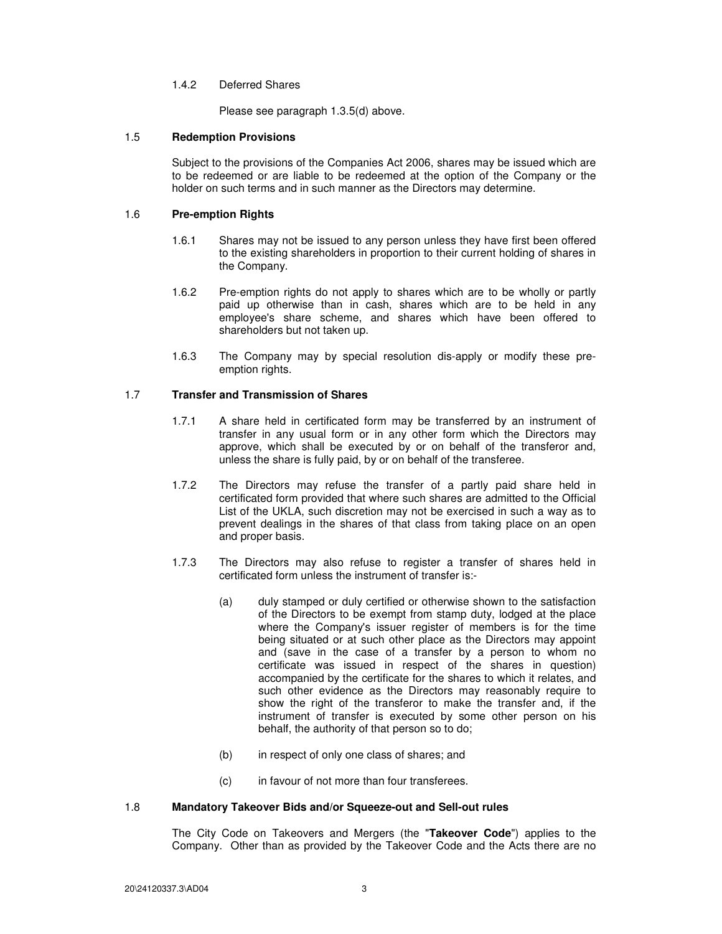#### 1.4.2 Deferred Shares

Please see paragraph 1.3.5(d) above.

### 1.5 **Redemption Provisions**

Subject to the provisions of the Companies Act 2006, shares may be issued which are to be redeemed or are liable to be redeemed at the option of the Company or the holder on such terms and in such manner as the Directors may determine.

#### 1.6 **Pre-emption Rights**

- 1.6.1 Shares may not be issued to any person unless they have first been offered to the existing shareholders in proportion to their current holding of shares in the Company.
- 1.6.2 Pre-emption rights do not apply to shares which are to be wholly or partly paid up otherwise than in cash, shares which are to be held in any employee's share scheme, and shares which have been offered to shareholders but not taken up.
- 1.6.3 The Company may by special resolution dis-apply or modify these preemption rights.

#### 1.7 **Transfer and Transmission of Shares**

- 1.7.1 A share held in certificated form may be transferred by an instrument of transfer in any usual form or in any other form which the Directors may approve, which shall be executed by or on behalf of the transferor and, unless the share is fully paid, by or on behalf of the transferee.
- 1.7.2 The Directors may refuse the transfer of a partly paid share held in certificated form provided that where such shares are admitted to the Official List of the UKLA, such discretion may not be exercised in such a way as to prevent dealings in the shares of that class from taking place on an open and proper basis.
- 1.7.3 The Directors may also refuse to register a transfer of shares held in certificated form unless the instrument of transfer is:-
	- (a) duly stamped or duly certified or otherwise shown to the satisfaction of the Directors to be exempt from stamp duty, lodged at the place where the Company's issuer register of members is for the time being situated or at such other place as the Directors may appoint and (save in the case of a transfer by a person to whom no certificate was issued in respect of the shares in question) accompanied by the certificate for the shares to which it relates, and such other evidence as the Directors may reasonably require to show the right of the transferor to make the transfer and, if the instrument of transfer is executed by some other person on his behalf, the authority of that person so to do;
	- (b) in respect of only one class of shares; and
	- (c) in favour of not more than four transferees.

### 1.8 **Mandatory Takeover Bids and/or Squeeze-out and Sell-out rules**

The City Code on Takeovers and Mergers (the "**Takeover Code**") applies to the Company. Other than as provided by the Takeover Code and the Acts there are no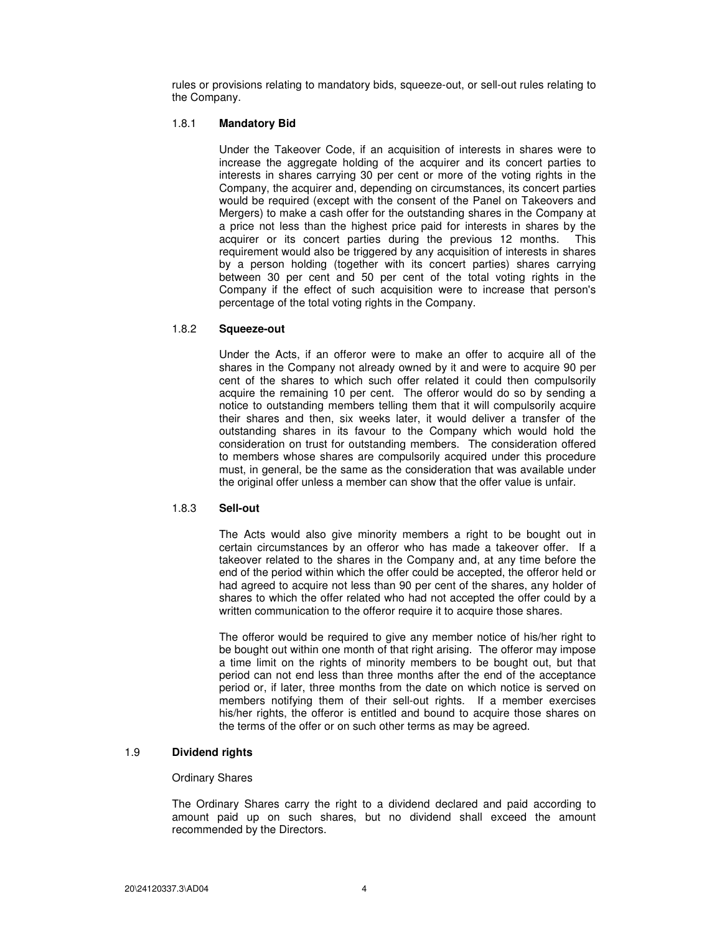rules or provisions relating to mandatory bids, squeeze-out, or sell-out rules relating to the Company.

#### 1.8.1 **Mandatory Bid**

Under the Takeover Code, if an acquisition of interests in shares were to increase the aggregate holding of the acquirer and its concert parties to interests in shares carrying 30 per cent or more of the voting rights in the Company, the acquirer and, depending on circumstances, its concert parties would be required (except with the consent of the Panel on Takeovers and Mergers) to make a cash offer for the outstanding shares in the Company at a price not less than the highest price paid for interests in shares by the acquirer or its concert parties during the previous 12 months. This requirement would also be triggered by any acquisition of interests in shares by a person holding (together with its concert parties) shares carrying between 30 per cent and 50 per cent of the total voting rights in the Company if the effect of such acquisition were to increase that person's percentage of the total voting rights in the Company.

#### 1.8.2 **Squeeze-out**

Under the Acts, if an offeror were to make an offer to acquire all of the shares in the Company not already owned by it and were to acquire 90 per cent of the shares to which such offer related it could then compulsorily acquire the remaining 10 per cent. The offeror would do so by sending a notice to outstanding members telling them that it will compulsorily acquire their shares and then, six weeks later, it would deliver a transfer of the outstanding shares in its favour to the Company which would hold the consideration on trust for outstanding members. The consideration offered to members whose shares are compulsorily acquired under this procedure must, in general, be the same as the consideration that was available under the original offer unless a member can show that the offer value is unfair.

#### 1.8.3 **Sell-out**

The Acts would also give minority members a right to be bought out in certain circumstances by an offeror who has made a takeover offer. If a takeover related to the shares in the Company and, at any time before the end of the period within which the offer could be accepted, the offeror held or had agreed to acquire not less than 90 per cent of the shares, any holder of shares to which the offer related who had not accepted the offer could by a written communication to the offeror require it to acquire those shares.

The offeror would be required to give any member notice of his/her right to be bought out within one month of that right arising. The offeror may impose a time limit on the rights of minority members to be bought out, but that period can not end less than three months after the end of the acceptance period or, if later, three months from the date on which notice is served on members notifying them of their sell-out rights. If a member exercises his/her rights, the offeror is entitled and bound to acquire those shares on the terms of the offer or on such other terms as may be agreed.

## 1.9 **Dividend rights**

#### Ordinary Shares

The Ordinary Shares carry the right to a dividend declared and paid according to amount paid up on such shares, but no dividend shall exceed the amount recommended by the Directors.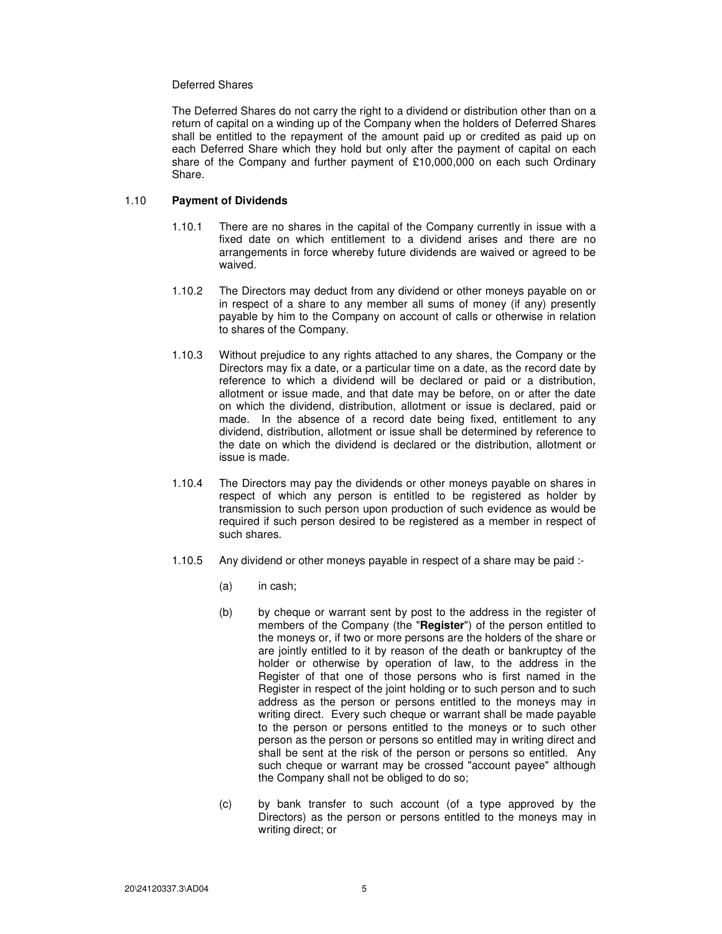### Deferred Shares

The Deferred Shares do not carry the right to a dividend or distribution other than on a return of capital on a winding up of the Company when the holders of Deferred Shares shall be entitled to the repayment of the amount paid up or credited as paid up on each Deferred Share which they hold but only after the payment of capital on each share of the Company and further payment of £10,000,000 on each such Ordinary Share.

### 1.10 **Payment of Dividends**

- 1.10.1 There are no shares in the capital of the Company currently in issue with a fixed date on which entitlement to a dividend arises and there are no arrangements in force whereby future dividends are waived or agreed to be waived.
- 1.10.2 The Directors may deduct from any dividend or other moneys payable on or in respect of a share to any member all sums of money (if any) presently payable by him to the Company on account of calls or otherwise in relation to shares of the Company.
- 1.10.3 Without prejudice to any rights attached to any shares, the Company or the Directors may fix a date, or a particular time on a date, as the record date by reference to which a dividend will be declared or paid or a distribution, allotment or issue made, and that date may be before, on or after the date on which the dividend, distribution, allotment or issue is declared, paid or made. In the absence of a record date being fixed, entitlement to any dividend, distribution, allotment or issue shall be determined by reference to the date on which the dividend is declared or the distribution, allotment or issue is made.
- 1.10.4 The Directors may pay the dividends or other moneys payable on shares in respect of which any person is entitled to be registered as holder by transmission to such person upon production of such evidence as would be required if such person desired to be registered as a member in respect of such shares.
- 1.10.5 Any dividend or other moneys payable in respect of a share may be paid :-
	- (a) in cash;
	- (b) by cheque or warrant sent by post to the address in the register of members of the Company (the "**Register**") of the person entitled to the moneys or, if two or more persons are the holders of the share or are jointly entitled to it by reason of the death or bankruptcy of the holder or otherwise by operation of law, to the address in the Register of that one of those persons who is first named in the Register in respect of the joint holding or to such person and to such address as the person or persons entitled to the moneys may in writing direct. Every such cheque or warrant shall be made payable to the person or persons entitled to the moneys or to such other person as the person or persons so entitled may in writing direct and shall be sent at the risk of the person or persons so entitled. Any such cheque or warrant may be crossed "account payee" although the Company shall not be obliged to do so;
	- (c) by bank transfer to such account (of a type approved by the Directors) as the person or persons entitled to the moneys may in writing direct; or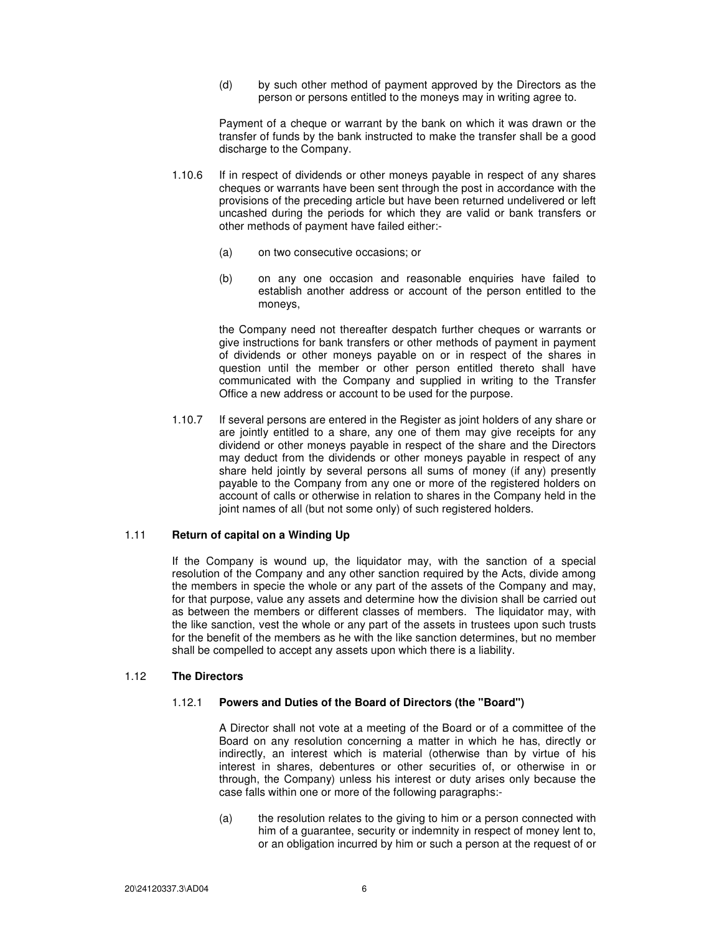(d) by such other method of payment approved by the Directors as the person or persons entitled to the moneys may in writing agree to.

Payment of a cheque or warrant by the bank on which it was drawn or the transfer of funds by the bank instructed to make the transfer shall be a good discharge to the Company.

- 1.10.6 If in respect of dividends or other moneys payable in respect of any shares cheques or warrants have been sent through the post in accordance with the provisions of the preceding article but have been returned undelivered or left uncashed during the periods for which they are valid or bank transfers or other methods of payment have failed either:-
	- (a) on two consecutive occasions; or
	- (b) on any one occasion and reasonable enquiries have failed to establish another address or account of the person entitled to the moneys,

the Company need not thereafter despatch further cheques or warrants or give instructions for bank transfers or other methods of payment in payment of dividends or other moneys payable on or in respect of the shares in question until the member or other person entitled thereto shall have communicated with the Company and supplied in writing to the Transfer Office a new address or account to be used for the purpose.

1.10.7 If several persons are entered in the Register as joint holders of any share or are jointly entitled to a share, any one of them may give receipts for any dividend or other moneys payable in respect of the share and the Directors may deduct from the dividends or other moneys payable in respect of any share held jointly by several persons all sums of money (if any) presently payable to the Company from any one or more of the registered holders on account of calls or otherwise in relation to shares in the Company held in the joint names of all (but not some only) of such registered holders.

# 1.11 **Return of capital on a Winding Up**

If the Company is wound up, the liquidator may, with the sanction of a special resolution of the Company and any other sanction required by the Acts, divide among the members in specie the whole or any part of the assets of the Company and may, for that purpose, value any assets and determine how the division shall be carried out as between the members or different classes of members. The liquidator may, with the like sanction, vest the whole or any part of the assets in trustees upon such trusts for the benefit of the members as he with the like sanction determines, but no member shall be compelled to accept any assets upon which there is a liability.

#### 1.12 **The Directors**

### 1.12.1 **Powers and Duties of the Board of Directors (the "Board")**

A Director shall not vote at a meeting of the Board or of a committee of the Board on any resolution concerning a matter in which he has, directly or indirectly, an interest which is material (otherwise than by virtue of his interest in shares, debentures or other securities of, or otherwise in or through, the Company) unless his interest or duty arises only because the case falls within one or more of the following paragraphs:-

(a) the resolution relates to the giving to him or a person connected with him of a guarantee, security or indemnity in respect of money lent to, or an obligation incurred by him or such a person at the request of or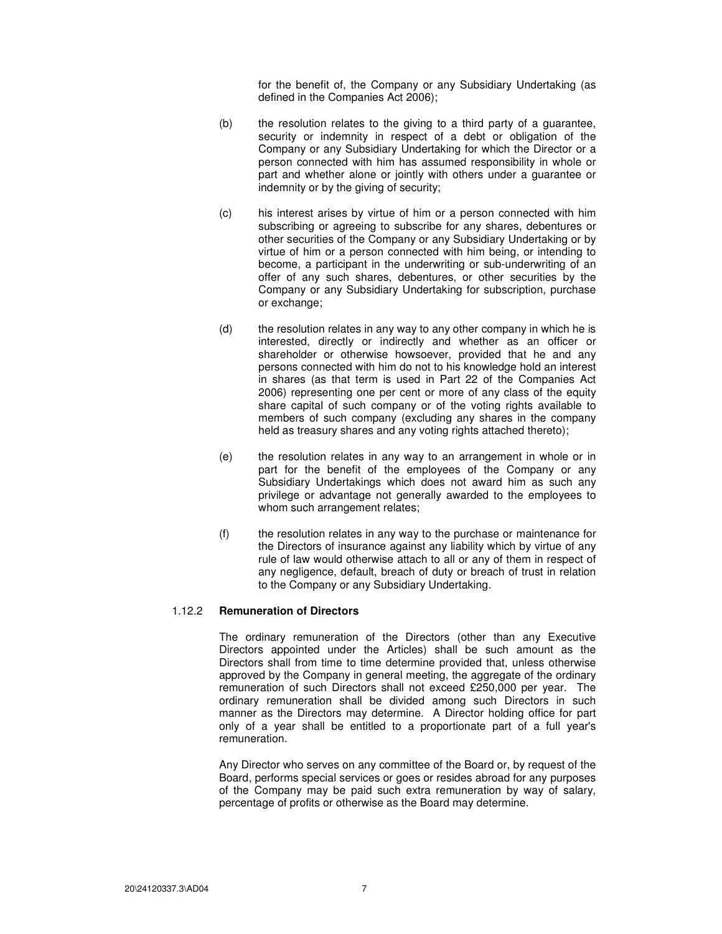for the benefit of, the Company or any Subsidiary Undertaking (as defined in the Companies Act 2006);

- (b) the resolution relates to the giving to a third party of a guarantee, security or indemnity in respect of a debt or obligation of the Company or any Subsidiary Undertaking for which the Director or a person connected with him has assumed responsibility in whole or part and whether alone or jointly with others under a guarantee or indemnity or by the giving of security;
- (c) his interest arises by virtue of him or a person connected with him subscribing or agreeing to subscribe for any shares, debentures or other securities of the Company or any Subsidiary Undertaking or by virtue of him or a person connected with him being, or intending to become, a participant in the underwriting or sub-underwriting of an offer of any such shares, debentures, or other securities by the Company or any Subsidiary Undertaking for subscription, purchase or exchange;
- (d) the resolution relates in any way to any other company in which he is interested, directly or indirectly and whether as an officer or shareholder or otherwise howsoever, provided that he and any persons connected with him do not to his knowledge hold an interest in shares (as that term is used in Part 22 of the Companies Act 2006) representing one per cent or more of any class of the equity share capital of such company or of the voting rights available to members of such company (excluding any shares in the company held as treasury shares and any voting rights attached thereto);
- (e) the resolution relates in any way to an arrangement in whole or in part for the benefit of the employees of the Company or any Subsidiary Undertakings which does not award him as such any privilege or advantage not generally awarded to the employees to whom such arrangement relates;
- (f) the resolution relates in any way to the purchase or maintenance for the Directors of insurance against any liability which by virtue of any rule of law would otherwise attach to all or any of them in respect of any negligence, default, breach of duty or breach of trust in relation to the Company or any Subsidiary Undertaking.

## 1.12.2 **Remuneration of Directors**

The ordinary remuneration of the Directors (other than any Executive Directors appointed under the Articles) shall be such amount as the Directors shall from time to time determine provided that, unless otherwise approved by the Company in general meeting, the aggregate of the ordinary remuneration of such Directors shall not exceed £250,000 per year. The ordinary remuneration shall be divided among such Directors in such manner as the Directors may determine. A Director holding office for part only of a year shall be entitled to a proportionate part of a full year's remuneration.

Any Director who serves on any committee of the Board or, by request of the Board, performs special services or goes or resides abroad for any purposes of the Company may be paid such extra remuneration by way of salary, percentage of profits or otherwise as the Board may determine.